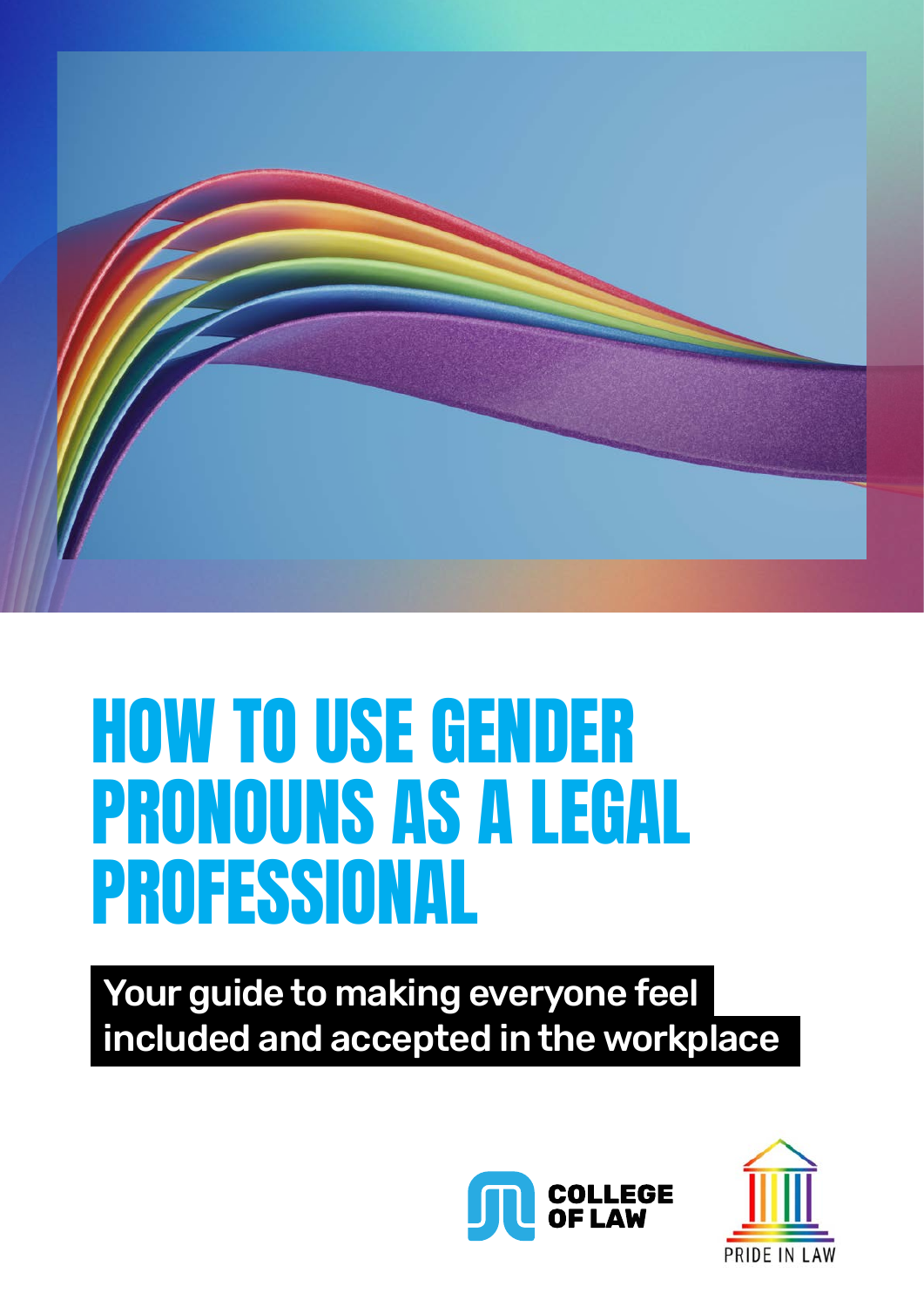

### HOW TO USE GENDER PRONOUNS AS A LEGAL PROFESSIONAL

Your guide to making everyone feel included and accepted in the workplace



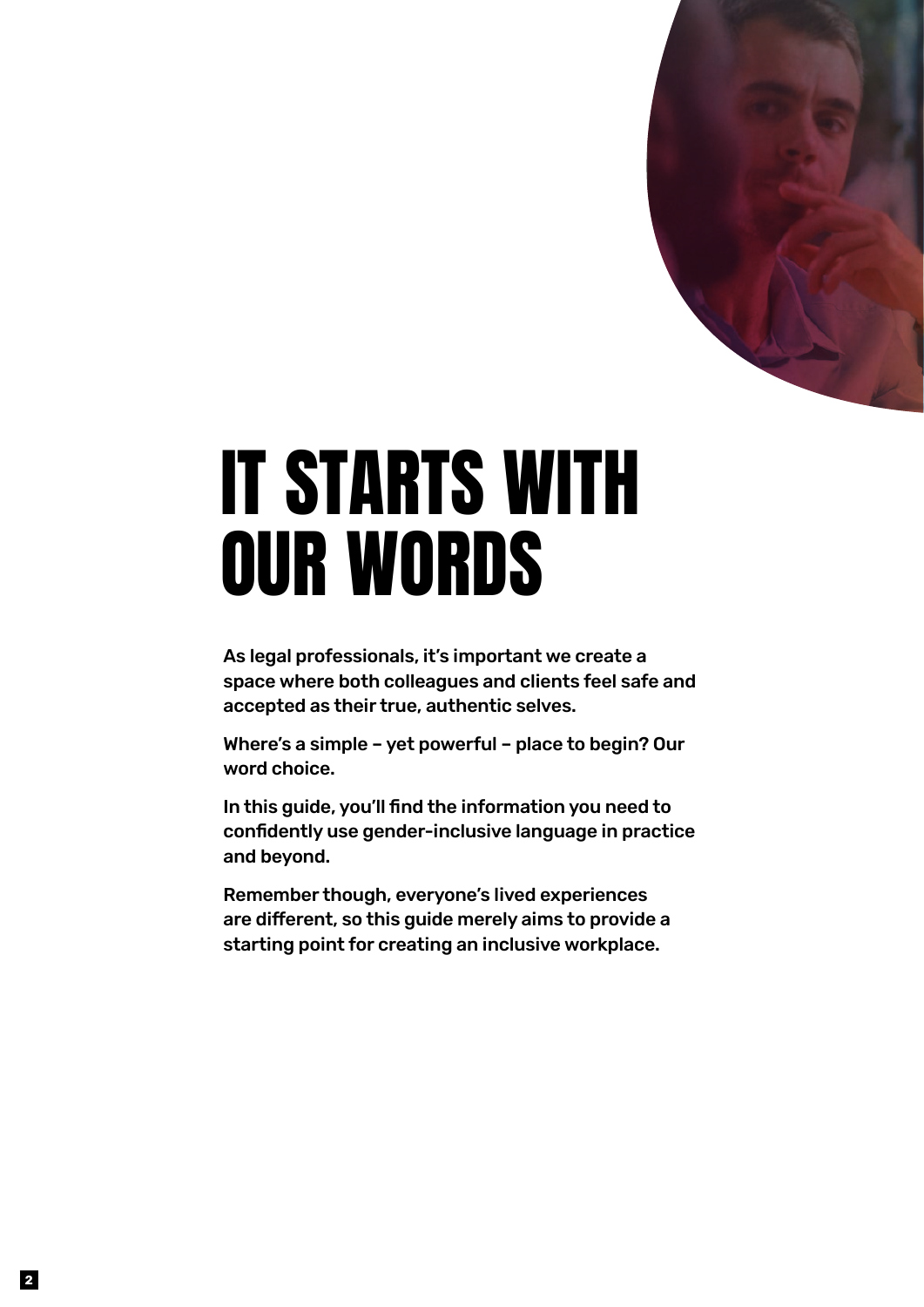

### IT STARTS WITH OUR WORDS

As legal professionals, it's important we create a space where both colleagues and clients feel safe and accepted as their true, authentic selves.

Where's a simple – yet powerful – place to begin? Our word choice.

In this guide, you'll find the information you need to confidently use gender-inclusive language in practice and beyond.

Remember though, everyone's lived experiences are different, so this guide merely aims to provide a starting point for creating an inclusive workplace.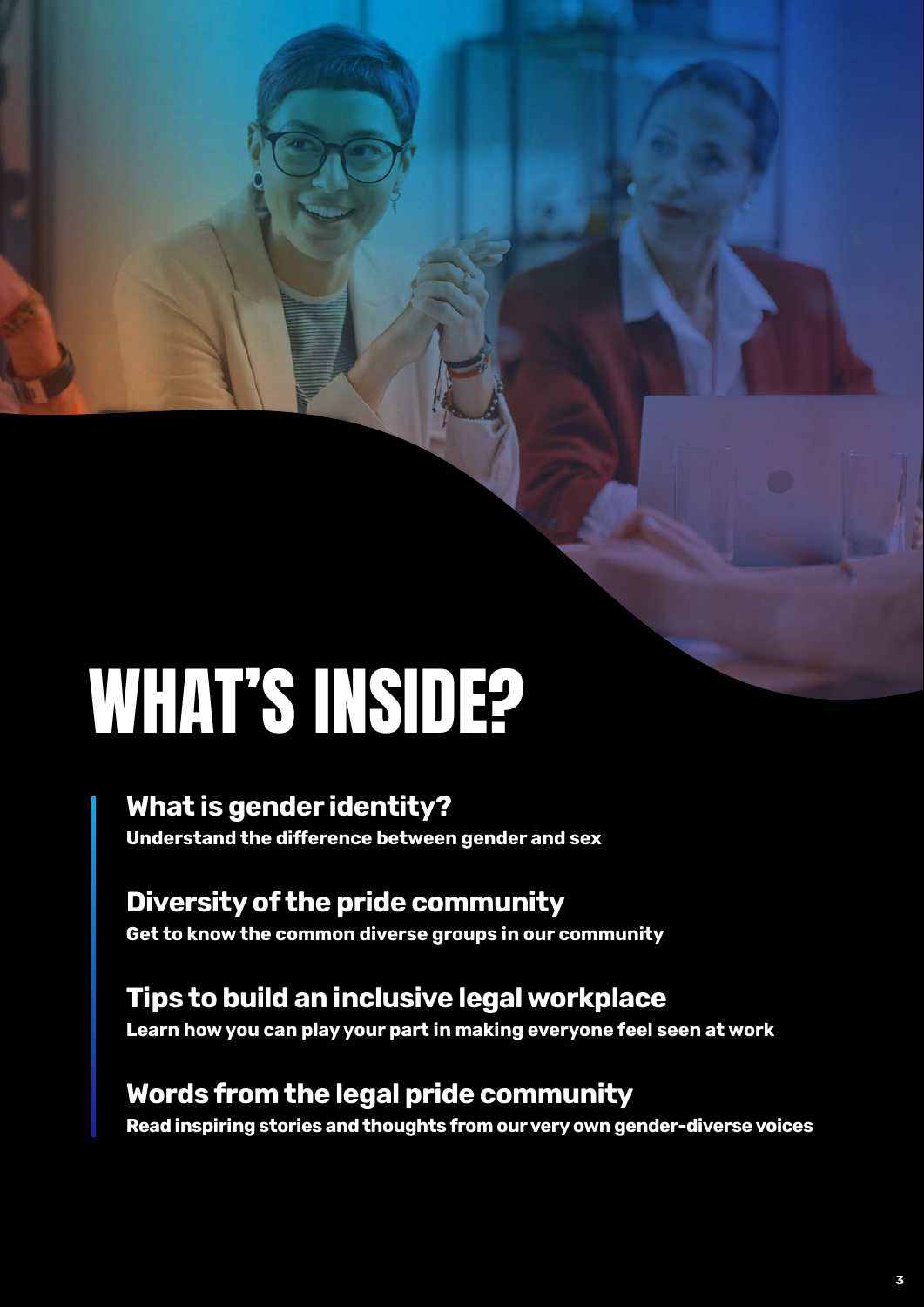# WHAT'S INSIDE?

**[What is gender identity?](#page-3-0) Understand the difference between gender and sex**

**[Diversity of the pride community](#page-5-0) Get to know the common diverse groups in our community**

**[Tips to build an inclusive legal workplace](#page-7-0)  Learn how you can play your part in making everyone feel seen at work**

**[Words from the legal pride community](#page-9-0)**

**Read inspiring stories and thoughts from our very own gender-diverse voices**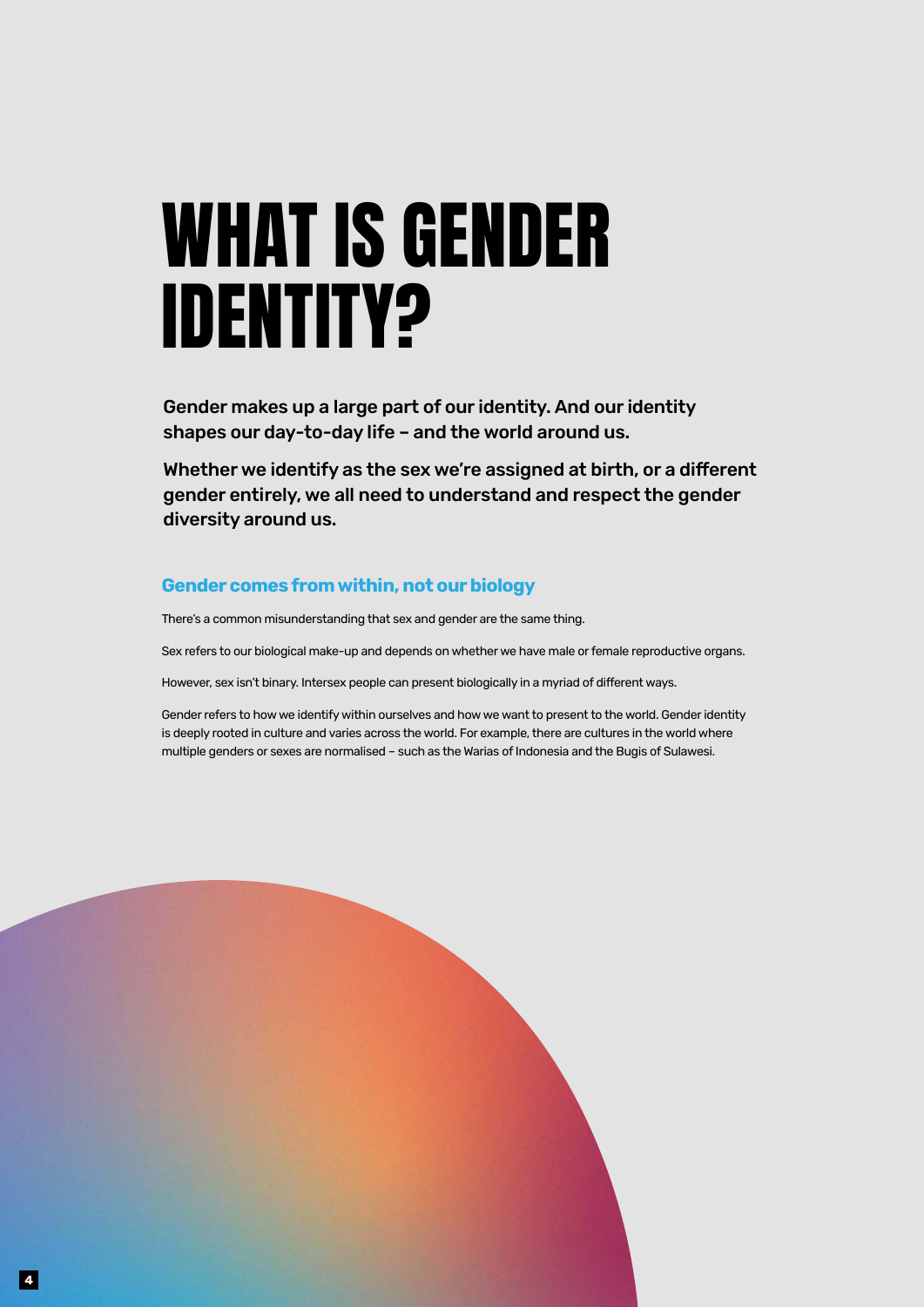## <span id="page-3-0"></span>WHAT IS GENDER IDENTITY?

Gender makes up a large part of our identity. And our identity shapes our day-to-day life – and the world around us.

Whether we identify as the sex we're assigned at birth, or a different gender entirely, we all need to understand and respect the gender diversity around us.

### **Gender comes from within, not our biology**

There's a common misunderstanding that sex and gender are the same thing.

Sex refers to our biological make-up and depends on whether we have male or female reproductive organs.

However, sex isn't binary. Intersex people can present biologically in a myriad of different ways.

Gender refers to how we identify within ourselves and how we want to present to the world. Gender identity is deeply rooted in culture and varies across the world. For example, there are cultures in the world where multiple genders or sexes are normalised – such as the Warias of Indonesia and the Bugis of Sulawesi.

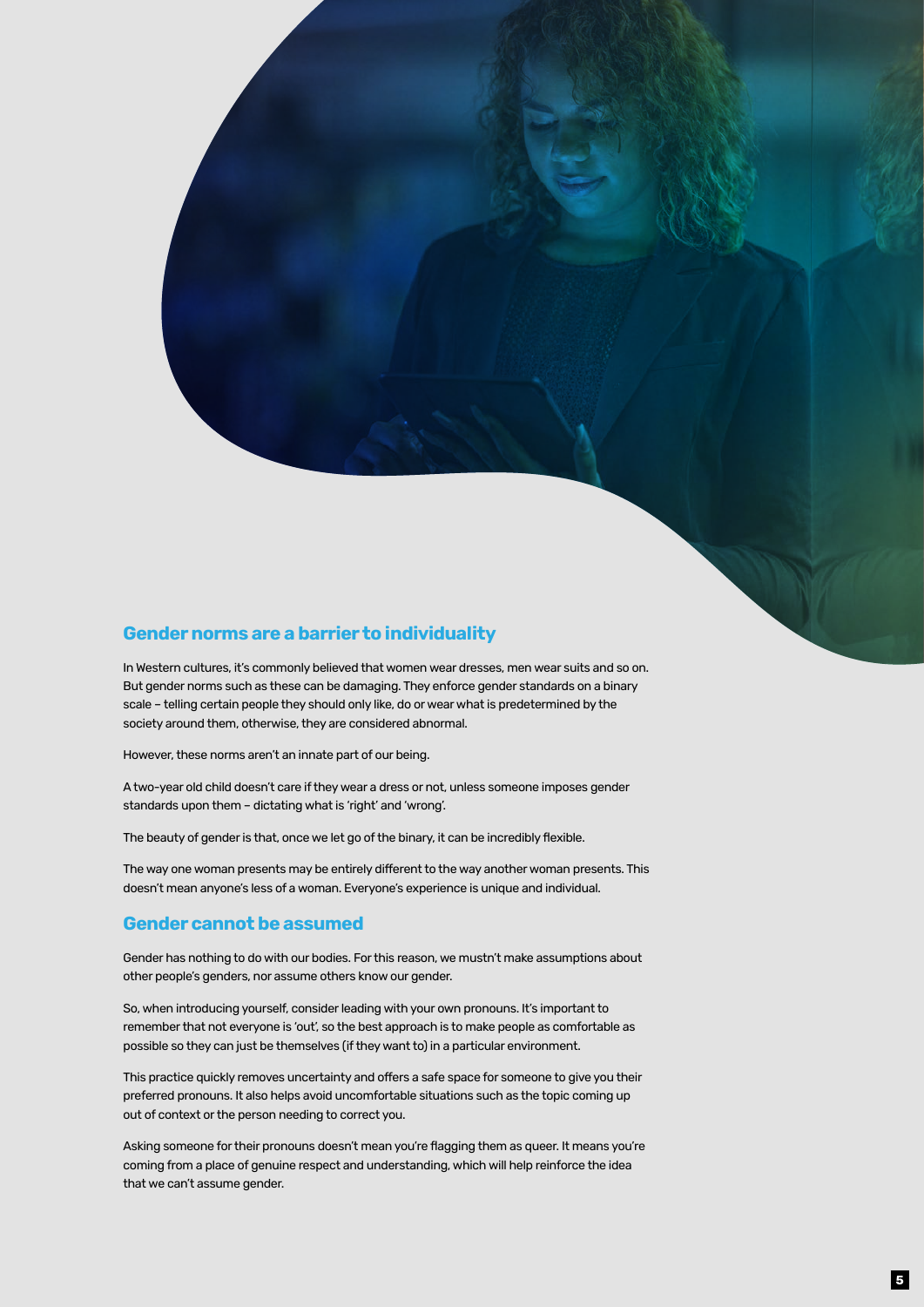#### **Gender norms are a barrier to individuality**

In Western cultures, it's commonly believed that women wear dresses, men wear suits and so on. But gender norms such as these can be damaging. They enforce gender standards on a binary scale – telling certain people they should only like, do or wear what is predetermined by the society around them, otherwise, they are considered abnormal.

However, these norms aren't an innate part of our being.

A two-year old child doesn't care if they wear a dress or not, unless someone imposes gender standards upon them – dictating what is 'right' and 'wrong'.

The beauty of gender is that, once we let go of the binary, it can be incredibly flexible.

The way one woman presents may be entirely different to the way another woman presents. This doesn't mean anyone's less of a woman. Everyone's experience is unique and individual.

#### **Gender cannot be assumed**

Gender has nothing to do with our bodies. For this reason, we mustn't make assumptions about other people's genders, nor assume others know our gender.

So, when introducing yourself, consider leading with your own pronouns. It's important to remember that not everyone is 'out', so the best approach is to make people as comfortable as possible so they can just be themselves (if they want to) in a particular environment.

This practice quickly removes uncertainty and offers a safe space for someone to give you their preferred pronouns. It also helps avoid uncomfortable situations such as the topic coming up out of context or the person needing to correct you.

Asking someone for their pronouns doesn't mean you're flagging them as queer. It means you're coming from a place of genuine respect and understanding, which will help reinforce the idea that we can't assume gender.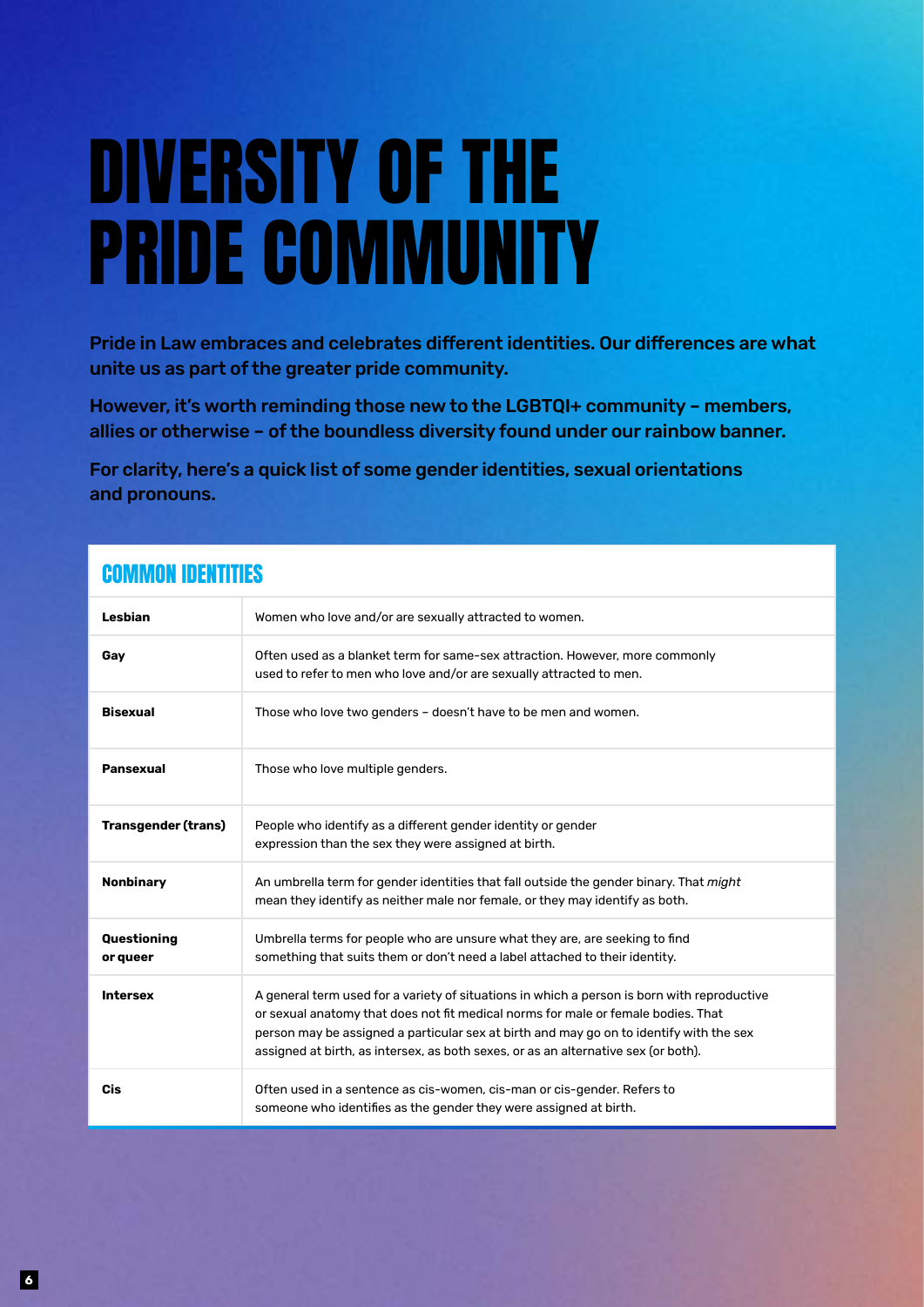## <span id="page-5-0"></span>DIVERSITY OF THE PRIDE COMMUNITY

Pride in Law embraces and celebrates different identities. Our differences are what unite us as part of the greater pride community.

However, it's worth reminding those new to the LGBTQI+ community – members, allies or otherwise – of the boundless diversity found under our rainbow banner.

For clarity, here's a quick list of some gender identities, sexual orientations and pronouns.

### COMMON IDENTITIES

| Lesbian                    | Women who love and/or are sexually attracted to women.                                                                                                                                                                                                                                                                                                            |
|----------------------------|-------------------------------------------------------------------------------------------------------------------------------------------------------------------------------------------------------------------------------------------------------------------------------------------------------------------------------------------------------------------|
| Gay                        | Often used as a blanket term for same-sex attraction. However, more commonly<br>used to refer to men who love and/or are sexually attracted to men.                                                                                                                                                                                                               |
| <b>Bisexual</b>            | Those who love two genders - doesn't have to be men and women.                                                                                                                                                                                                                                                                                                    |
| <b>Pansexual</b>           | Those who love multiple genders.                                                                                                                                                                                                                                                                                                                                  |
| <b>Transgender (trans)</b> | People who identify as a different gender identity or gender<br>expression than the sex they were assigned at birth.                                                                                                                                                                                                                                              |
| <b>Nonbinary</b>           | An umbrella term for gender identities that fall outside the gender binary. That might<br>mean they identify as neither male nor female, or they may identify as both.                                                                                                                                                                                            |
| Questioning<br>or queer    | Umbrella terms for people who are unsure what they are, are seeking to find<br>something that suits them or don't need a label attached to their identity.                                                                                                                                                                                                        |
| <b>Intersex</b>            | A general term used for a variety of situations in which a person is born with reproductive<br>or sexual anatomy that does not fit medical norms for male or female bodies. That<br>person may be assigned a particular sex at birth and may go on to identify with the sex<br>assigned at birth, as intersex, as both sexes, or as an alternative sex (or both). |
| <b>Cis</b>                 | Often used in a sentence as cis-women, cis-man or cis-gender. Refers to<br>someone who identifies as the gender they were assigned at birth.                                                                                                                                                                                                                      |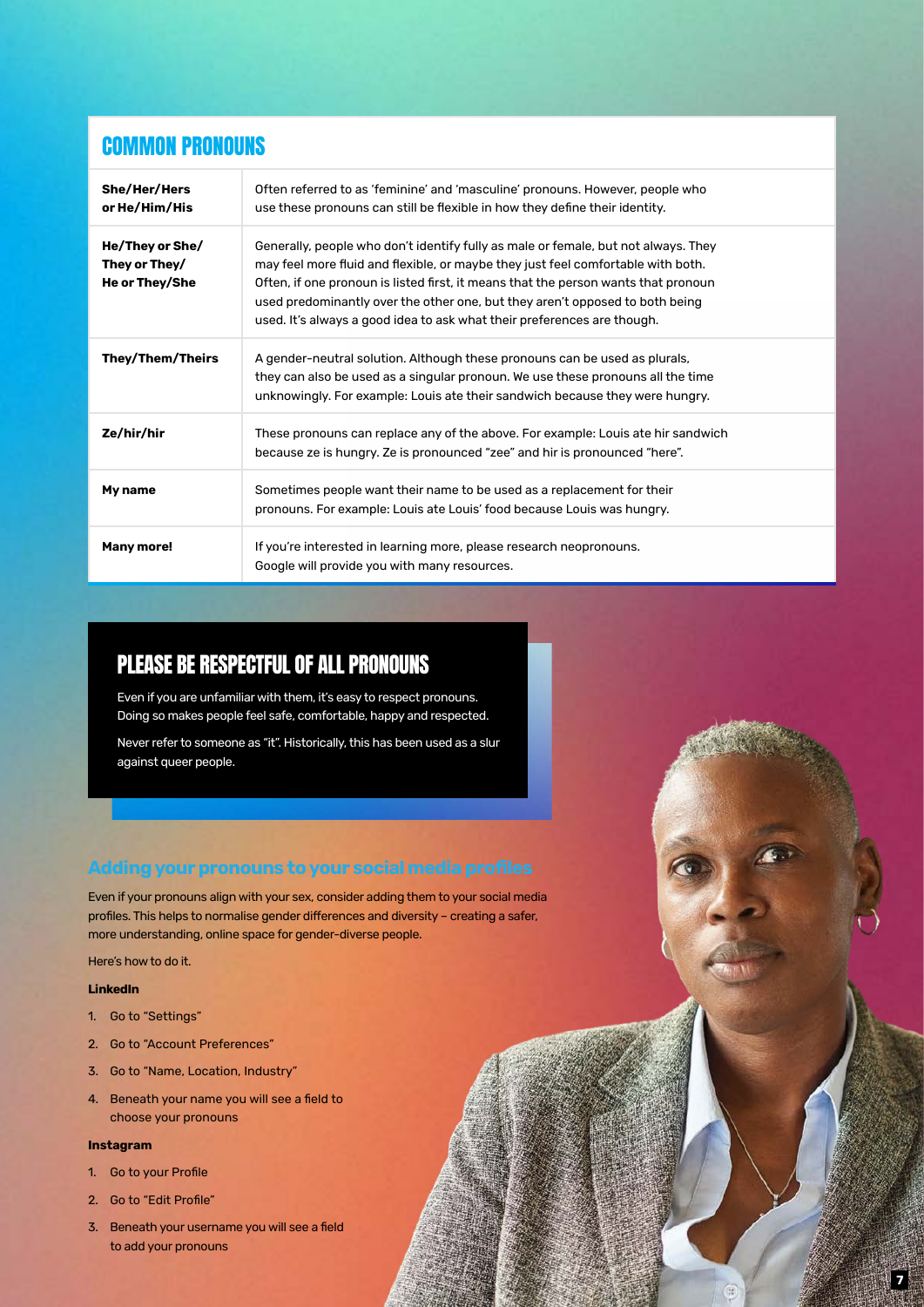### COMMON PRONOUNS

| She/Her/Hers<br>or He/Him/His                      | Often referred to as 'feminine' and 'masculine' pronouns. However, people who<br>use these pronouns can still be flexible in how they define their identity.                                                                                                                                                                                                                                                            |
|----------------------------------------------------|-------------------------------------------------------------------------------------------------------------------------------------------------------------------------------------------------------------------------------------------------------------------------------------------------------------------------------------------------------------------------------------------------------------------------|
| He/They or She/<br>They or They/<br>He or They/She | Generally, people who don't identify fully as male or female, but not always. They<br>may feel more fluid and flexible, or maybe they just feel comfortable with both.<br>Often, if one pronoun is listed first, it means that the person wants that pronoun<br>used predominantly over the other one, but they aren't opposed to both being<br>used. It's always a good idea to ask what their preferences are though. |
| They/Them/Theirs                                   | A gender-neutral solution. Although these pronouns can be used as plurals,<br>they can also be used as a singular pronoun. We use these pronouns all the time<br>unknowingly. For example: Louis ate their sandwich because they were hungry.                                                                                                                                                                           |
| Ze/hir/hir                                         | These pronouns can replace any of the above. For example: Louis ate hir sandwich<br>because ze is hungry. Ze is pronounced "zee" and hir is pronounced "here".                                                                                                                                                                                                                                                          |
| My name                                            | Sometimes people want their name to be used as a replacement for their<br>pronouns. For example: Louis ate Louis' food because Louis was hungry.                                                                                                                                                                                                                                                                        |
| Many more!                                         | If you're interested in learning more, please research neopronouns.<br>Google will provide you with many resources.                                                                                                                                                                                                                                                                                                     |

### PLEASE BE RESPECTFUL OF ALL PRONOUNS

Even if you are unfamiliar with them, it's easy to respect pronouns. Doing so makes people feel safe, comfortable, happy and respected.

Never refer to someone as "it". Historically, this has been used as a slur against queer people.

#### **Adding your pronouns to your social media profiles**

Even if your pronouns align with your sex, consider adding them to your social media profiles. This helps to normalise gender differences and diversity – creating a safer, more understanding, online space for gender-diverse people.

Here's how to do it.

#### **LinkedIn**

- 1. Go to "Settings"
- 2. Go to "Account Preferences"
- 3. Go to "Name, Location, Industry"
- 4. Beneath your name you will see a field to choose your pronouns

#### **Instagram**

- 1. Go to your Profile
- 2. Go to "Edit Profile"
- 3. Beneath your username you will see a field to add your pronouns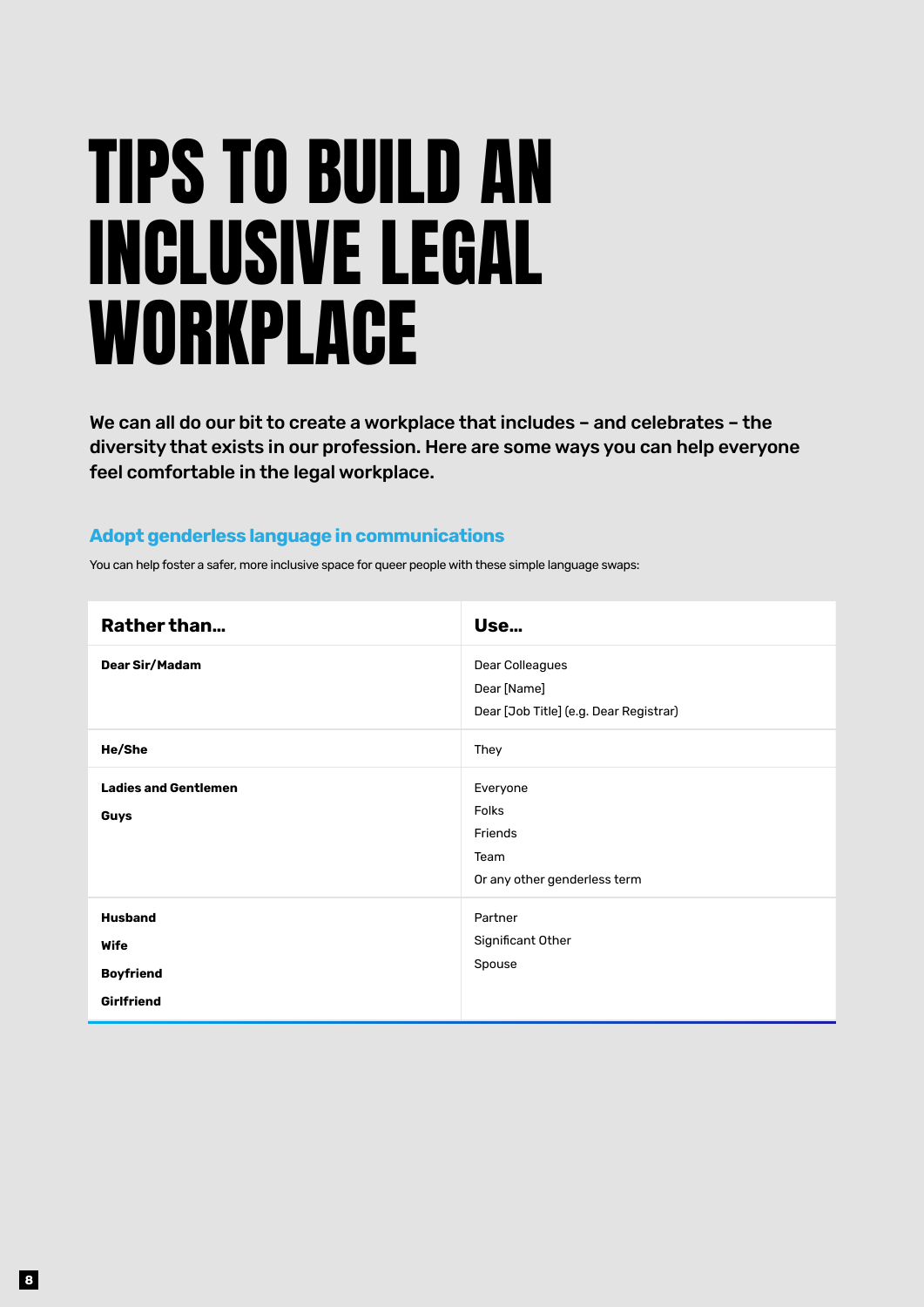### <span id="page-7-0"></span>TIPS TO BUILD AN INCLUSIVE LEGAL WORKPLACE

We can all do our bit to create a workplace that includes – and celebrates – the diversity that exists in our profession. Here are some ways you can help everyone feel comfortable in the legal workplace.

#### **Adopt genderless language in communications**

You can help foster a safer, more inclusive space for queer people with these simple language swaps:

| Rather than                                              | Use                                                                         |
|----------------------------------------------------------|-----------------------------------------------------------------------------|
| Dear Sir/Madam                                           | Dear Colleagues<br>Dear [Name]<br>Dear [Job Title] (e.g. Dear Registrar)    |
| He/She                                                   | They                                                                        |
| <b>Ladies and Gentlemen</b><br>Guys                      | Everyone<br><b>Folks</b><br>Friends<br>Team<br>Or any other genderless term |
| <b>Husband</b><br>Wife<br><b>Boyfriend</b><br>Girlfriend | Partner<br>Significant Other<br>Spouse                                      |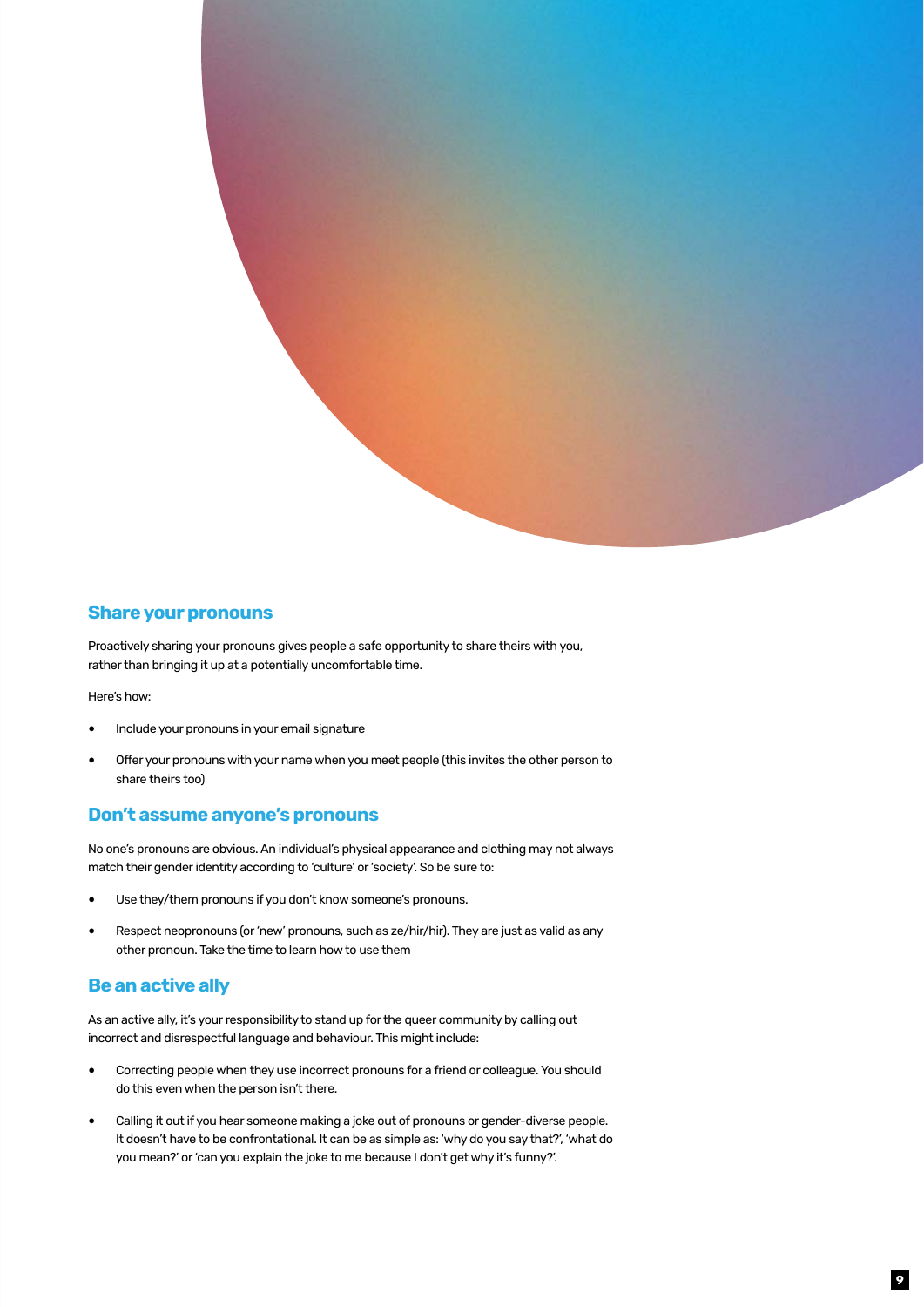

#### **Share your pronouns**

Proactively sharing your pronouns gives people a safe opportunity to share theirs with you, rather than bringing it up at a potentially uncomfortable time.

Here's how:

- Include your pronouns in your email signature
- Offer your pronouns with your name when you meet people (this invites the other person to share theirs too)

#### **Don't assume anyone's pronouns**

No one's pronouns are obvious. An individual's physical appearance and clothing may not always match their gender identity according to 'culture' or 'society'. So be sure to:

- Use they/them pronouns if you don't know someone's pronouns.
- Respect neopronouns (or 'new' pronouns, such as ze/hir/hir). They are just as valid as any other pronoun. Take the time to learn how to use them

#### **Be an active ally**

As an active ally, it's your responsibility to stand up for the queer community by calling out incorrect and disrespectful language and behaviour. This might include:

- Correcting people when they use incorrect pronouns for a friend or colleague. You should do this even when the person isn't there.
- Calling it out if you hear someone making a joke out of pronouns or gender-diverse people. It doesn't have to be confrontational. It can be as simple as: 'why do you say that?', 'what do you mean?' or 'can you explain the joke to me because I don't get why it's funny?'.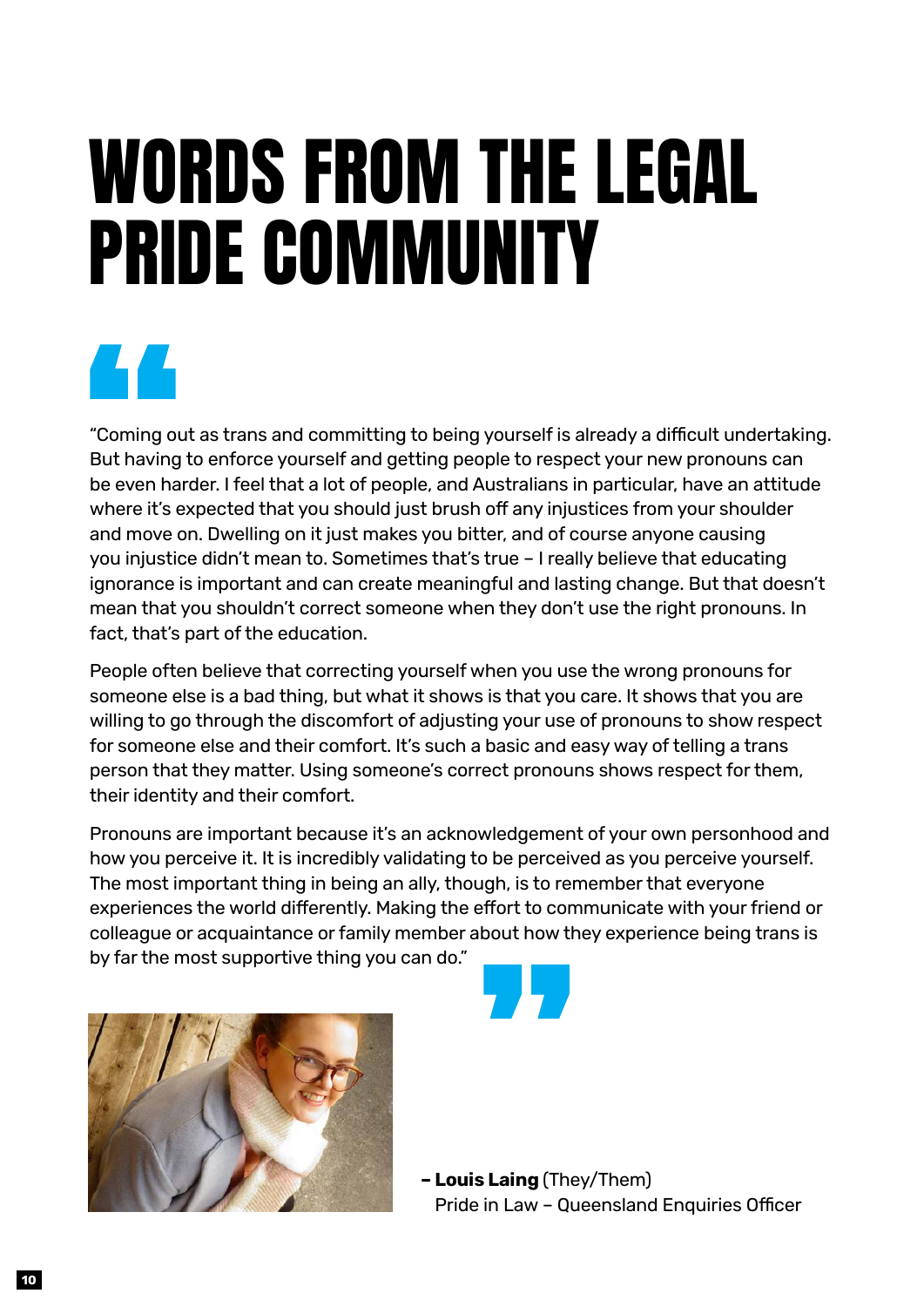## <span id="page-9-0"></span>WORDS FROM THE LEGAL PRIDE COMMUNITY

### 44

"Coming out as trans and committing to being yourself is already a difficult undertaking. But having to enforce yourself and getting people to respect your new pronouns can be even harder. I feel that a lot of people, and Australians in particular, have an attitude where it's expected that you should just brush off any injustices from your shoulder and move on. Dwelling on it just makes you bitter, and of course anyone causing you injustice didn't mean to. Sometimes that's true – I really believe that educating ignorance is important and can create meaningful and lasting change. But that doesn't mean that you shouldn't correct someone when they don't use the right pronouns. In fact, that's part of the education.

People often believe that correcting yourself when you use the wrong pronouns for someone else is a bad thing, but what it shows is that you care. It shows that you are willing to go through the discomfort of adjusting your use of pronouns to show respect for someone else and their comfort. It's such a basic and easy way of telling a trans person that they matter. Using someone's correct pronouns shows respect for them, their identity and their comfort.

Pronouns are important because it's an acknowledgement of your own personhood and how you perceive it. It is incredibly validating to be perceived as you perceive yourself. The most important thing in being an ally, though, is to remember that everyone experiences the world differently. Making the effort to communicate with your friend or colleague or acquaintance or family member about how they experience being trans is by far the most supportive thing you can do."





**– Louis Laing** (They/Them) Pride in Law – Queensland Enquiries Officer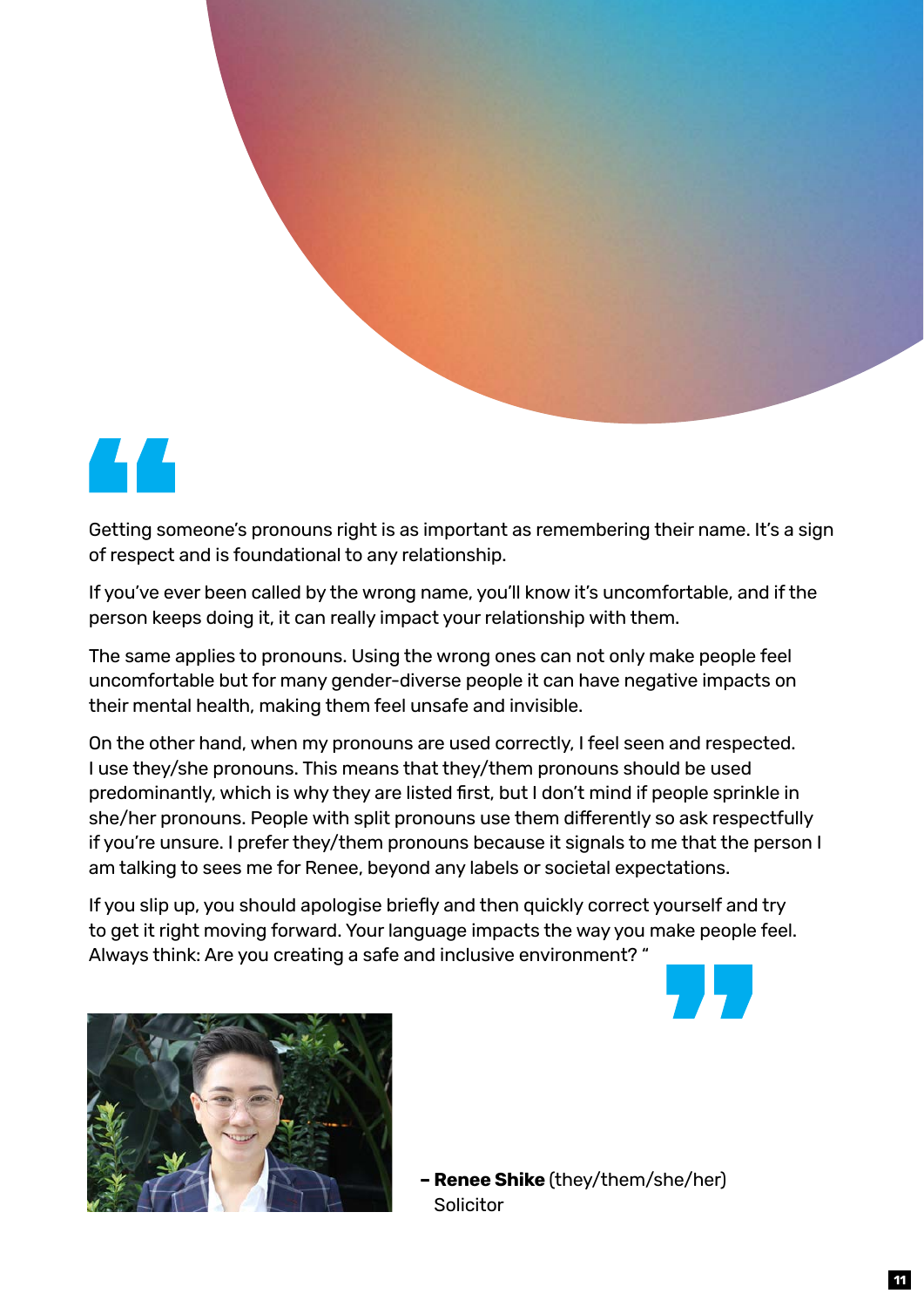

44

Getting someone's pronouns right is as important as remembering their name. It's a sign of respect and is foundational to any relationship.

If you've ever been called by the wrong name, you'll know it's uncomfortable, and if the person keeps doing it, it can really impact your relationship with them.

The same applies to pronouns. Using the wrong ones can not only make people feel uncomfortable but for many gender-diverse people it can have negative impacts on their mental health, making them feel unsafe and invisible.

On the other hand, when my pronouns are used correctly, I feel seen and respected. I use they/she pronouns. This means that they/them pronouns should be used predominantly, which is why they are listed first, but I don't mind if people sprinkle in she/her pronouns. People with split pronouns use them differently so ask respectfully if you're unsure. I prefer they/them pronouns because it signals to me that the person I am talking to sees me for Renee, beyond any labels or societal expectations.

If you slip up, you should apologise briefly and then quickly correct yourself and try to get it right moving forward. Your language impacts the way you make people feel. Always think: Are you creating a safe and inclusive environment? "





**– Renee Shike** (they/them/she/her) **Solicitor**